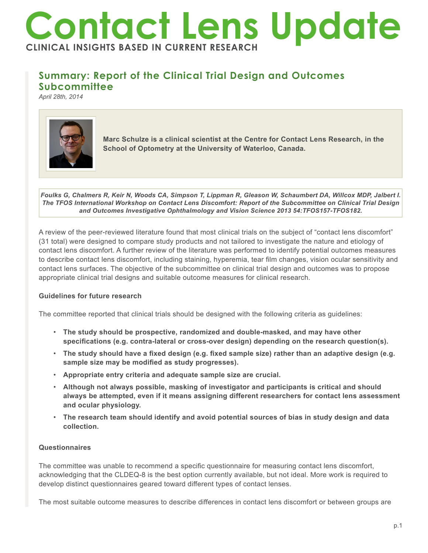# **Contact Lens Update CLINICAL INSIGHTS BASED IN CURRENT RESEARCH**

## **Summary: Report of the Clinical Trial Design and Outcomes Subcommittee**

*April 28th, 2014*



**Marc Schulze is a clinical scientist at the Centre for Contact Lens Research, in the School of Optometry at the University of Waterloo, Canada.** 

*Foulks G, Chalmers R, Keir N, Woods CA, Simpson T, Lippman R, Gleason W, Schaumbert DA, Willcox MDP, Jalbert I. The TFOS International Workshop on Contact Lens Discomfort: Report of the Subcommittee on Clinical Trial Design and Outcomes Investigative Ophthalmology and Vision Science 2013 54:TFOS157-TFOS182.*

A review of the peer-reviewed literature found that most clinical trials on the subject of "contact lens discomfort" (31 total) were designed to compare study products and not tailored to investigate the nature and etiology of contact lens discomfort. A further review of the literature was performed to identify potential outcomes measures to describe contact lens discomfort, including staining, hyperemia, tear film changes, vision ocular sensitivity and contact lens surfaces. The objective of the subcommittee on clinical trial design and outcomes was to propose appropriate clinical trial designs and suitable outcome measures for clinical research.

### **Guidelines for future research**

The committee reported that clinical trials should be designed with the following criteria as guidelines:

- **The study should be prospective, randomized and double-masked, and may have other specifications (e.g. contra-lateral or cross-over design) depending on the research question(s).**
- **The study should have a fixed design (e.g. fixed sample size) rather than an adaptive design (e.g. sample size may be modified as study progresses).**
- **Appropriate entry criteria and adequate sample size are crucial.**
- **Although not always possible, masking of investigator and participants is critical and should always be attempted, even if it means assigning different researchers for contact lens assessment and ocular physiology.**
- **The research team should identify and avoid potential sources of bias in study design and data collection.**

### **Questionnaires**

The committee was unable to recommend a specific questionnaire for measuring contact lens discomfort, acknowledging that the CLDEQ-8 is the best option currently available, but not ideal. More work is required to develop distinct questionnaires geared toward different types of contact lenses.

The most suitable outcome measures to describe differences in contact lens discomfort or between groups are